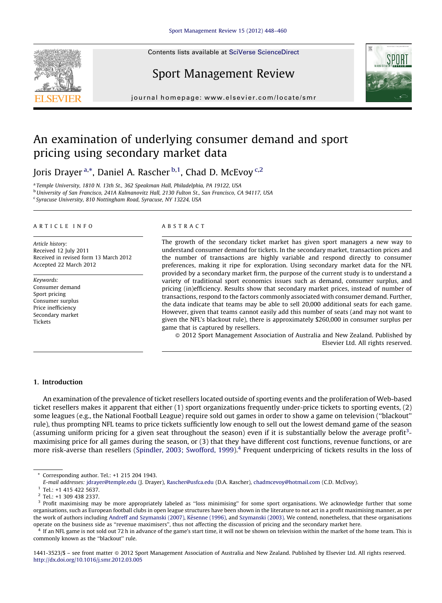Contents lists available at SciVerse [ScienceDirect](http://www.sciencedirect.com/science/journal/14413523)

# Sport Management Review

journal homepage: www.elsevier.com/locate/smr

# An examination of underlying consumer demand and sport pricing using secondary market data

Joris Drayer <sup>a,\*</sup>, Daniel A. Rascher <sup>b,1</sup>, Chad D. McEvoy <sup>c,2</sup>

<sup>a</sup> Temple University, 1810 N. 13th St., 362 Speakman Hall, Philadelphia, PA 19122, USA <sup>b</sup> University of San Francisco, 241A Kalmanovitz Hall, 2130 Fulton St., San Francisco, CA 94117, USA

<sup>c</sup> Syracuse University, 810 Nottingham Road, Syracuse, NY 13224, USA

#### A R T I C I E I N E O

Article history: Received 12 July 2011 Received in revised form 13 March 2012 Accepted 22 March 2012

Keywords: Consumer demand Sport pricing Consumer surplus Price inefficiency Secondary market Tickets

#### A B S T R A C T

The growth of the secondary ticket market has given sport managers a new way to understand consumer demand for tickets. In the secondary market, transaction prices and the number of transactions are highly variable and respond directly to consumer preferences, making it ripe for exploration. Using secondary market data for the NFL provided by a secondary market firm, the purpose of the current study is to understand a variety of traditional sport economics issues such as demand, consumer surplus, and pricing (in)efficiency. Results show that secondary market prices, instead of number of transactions, respond to the factors commonly associated with consumer demand. Further, the data indicate that teams may be able to sell 20,000 additional seats for each game. However, given that teams cannot easily add this number of seats (and may not want to given the NFL's blackout rule), there is approximately \$260,000 in consumer surplus per game that is captured by resellers.

- 2012 Sport Management Association of Australia and New Zealand. Published by Elsevier Ltd. All rights reserved.

#### 1. Introduction

An examination of the prevalence of ticket resellers located outside of sporting events and the proliferation of Web-based ticket resellers makes it apparent that either (1) sport organizations frequently under-price tickets to sporting events, (2) some leagues (e.g., the National Football League) require sold out games in order to show a game on television (''blackout'' rule), thus prompting NFL teams to price tickets sufficiently low enough to sell out the lowest demand game of the season (assuming uniform pricing for a given seat throughout the season) even if it is substantially below the average profit<sup>3</sup>maximising price for all games during the season, or (3) that they have different cost functions, revenue functions, or are more risk-averse than resellers (Spindler, 2003; [Swofford,](#page--1-0) 1999).<sup>4</sup> Frequent underpricing of tickets results in the loss of

<sup>4</sup> If an NFL game is not sold out 72 h in advance of the game's start time, it will not be shown on television within the market of the home team. This is commonly known as the ''blackout'' rule.

1441-3523/\$ – see front matter © 2012 Sport Management Association of Australia and New Zealand. Published by Elsevier Ltd. All rights reserved. <http://dx.doi.org/10.1016/j.smr.2012.03.005>





<sup>\*</sup> Corresponding author. Tel.: +1 215 204 1943.

E-mail addresses: [jdrayer@temple.edu](mailto:jdrayer@temple.edu) (J. Drayer), [Rascher@usfca.edu](mailto:Rascher@usfca.edu) (D.A. Rascher), [chadmcevoy@hotmail.com](mailto:chadmcevoy@hotmail.com) (C.D. McEvoy).

<sup>&</sup>lt;sup>1</sup> Tel.: +1 415 422 5637.

<sup>2</sup> Tel.: +1 309 438 2337.

<sup>&</sup>lt;sup>3</sup> Profit maximising may be more appropriately labeled as "loss minimising" for some sport organisations. We acknowledge further that some organisations, such as European football clubs in open league structures have been shown in the literature to not act in a profit maximising manner, as per the work of authors including Andreff and [Szymanski](#page--1-0) (2007), Késenne [\(1996\)](#page--1-0), and Szymanski (2003). We contend, nonetheless, that these organisations operate on the business side as ''revenue maximisers'', thus not affecting the discussion of pricing and the secondary market here.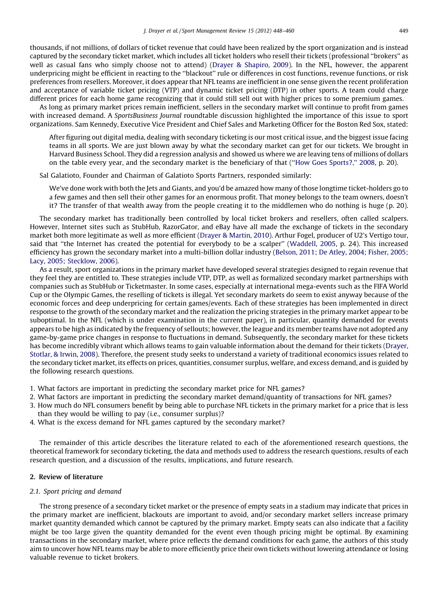thousands, if not millions, of dollars of ticket revenue that could have been realized by the sport organization and is instead captured by the secondary ticket market, which includes all ticket holders who resell their tickets (professional ''brokers'' as well as casual fans who simply choose not to attend) (Drayer & [Shapiro,](#page--1-0) 2009). In the NFL, however, the apparent underpricing might be efficient in reacting to the ''blackout'' rule or differences in cost functions, revenue functions, or risk preferences from resellers. Moreover, it does appear that NFL teams are inefficient in one sense given the recent proliferation and acceptance of variable ticket pricing (VTP) and dynamic ticket pricing (DTP) in other sports. A team could charge different prices for each home game recognizing that it could still sell out with higher prices to some premium games.

As long as primary market prices remain inefficient, sellers in the secondary market will continue to profit from games with increased demand. A SportsBusiness Journal roundtable discussion highlighted the importance of this issue to sport organizations. Sam Kennedy, Executive Vice President and Chief Sales and Marketing Officer for the Boston Red Sox, stated:

After figuring out digital media, dealing with secondary ticketing is our most critical issue, and the biggest issue facing teams in all sports. We are just blown away by what the secondary market can get for our tickets. We brought in Harvard Business School. They did a regression analysis and showed us where we are leaving tens of millions of dollars on the table every year, and the secondary market is the beneficiary of that (''How Goes [Sports?,''](#page--1-0) 2008, p. 20).

Sal Galatioto, Founder and Chairman of Galatioto Sports Partners, responded similarly:

We've done work with both the Jets and Giants, and you'd be amazed how many of those longtime ticket-holders go to a few games and then sell their other games for an enormous profit. That money belongs to the team owners, doesn't it? The transfer of that wealth away from the people creating it to the middlemen who do nothing is huge (p. 20).

The secondary market has traditionally been controlled by local ticket brokers and resellers, often called scalpers. However, Internet sites such as StubHub, RazorGator, and eBay have all made the exchange of tickets in the secondary market both more legitimate as well as more efficient (Drayer & [Martin,](#page--1-0) 2010). Arthur Fogel, producer of U2's Vertigo tour, said that ''the Internet has created the potential for everybody to be a scalper'' [\(Waddell,](#page--1-0) 2005, p. 24). This increased efficiency has grown the secondary market into a multi-billion dollar industry [\(Belson,](#page--1-0) 2011; De Atley, 2004; Fisher, 2005; Lacy, 2005; [Stecklow,](#page--1-0) 2006).

As a result, sport organizations in the primary market have developed several strategies designed to regain revenue that they feel they are entitled to. These strategies include VTP, DTP, as well as formalized secondary market partnerships with companies such as StubHub or Ticketmaster. In some cases, especially at international mega-events such as the FIFA World Cup or the Olympic Games, the reselling of tickets is illegal. Yet secondary markets do seem to exist anyway because of the economic forces and deep underpricing for certain games/events. Each of these strategies has been implemented in direct response to the growth of the secondary market and the realization the pricing strategies in the primary market appear to be suboptimal. In the NFL (which is under examination in the current paper), in particular, quantity demanded for events appears to be high as indicated by the frequency of sellouts; however,the league and its member teams have not adopted any game-by-game price changes in response to fluctuations in demand. Subsequently, the secondary market for these tickets has become incredibly vibrant which allows teams to gain valuable information about the demand for their tickets [\(Drayer,](#page--1-0) [Stotlar,](#page--1-0) & Irwin, 2008). Therefore, the present study seeks to understand a variety of traditional economics issues related to the secondary ticket market, its effects on prices, quantities, consumer surplus, welfare, and excess demand, and is guided by the following research questions.

- 1. What factors are important in predicting the secondary market price for NFL games?
- 2. What factors are important in predicting the secondary market demand/quantity of transactions for NFL games?
- 3. How much do NFL consumers benefit by being able to purchase NFL tickets in the primary market for a price that is less than they would be willing to pay (i.e., consumer surplus)?
- 4. What is the excess demand for NFL games captured by the secondary market?

The remainder of this article describes the literature related to each of the aforementioned research questions, the theoretical framework for secondary ticketing, the data and methods used to address the research questions, results of each research question, and a discussion of the results, implications, and future research.

### 2. Review of literature

### 2.1. Sport pricing and demand

The strong presence of a secondary ticket market or the presence of empty seats in a stadium may indicate that prices in the primary market are inefficient, blackouts are important to avoid, and/or secondary market sellers increase primary market quantity demanded which cannot be captured by the primary market. Empty seats can also indicate that a facility might be too large given the quantity demanded for the event even though pricing might be optimal. By examining transactions in the secondary market, where price reflects the demand conditions for each game, the authors of this study aim to uncover how NFL teams may be able to more efficiently price their own tickets without lowering attendance or losing valuable revenue to ticket brokers.